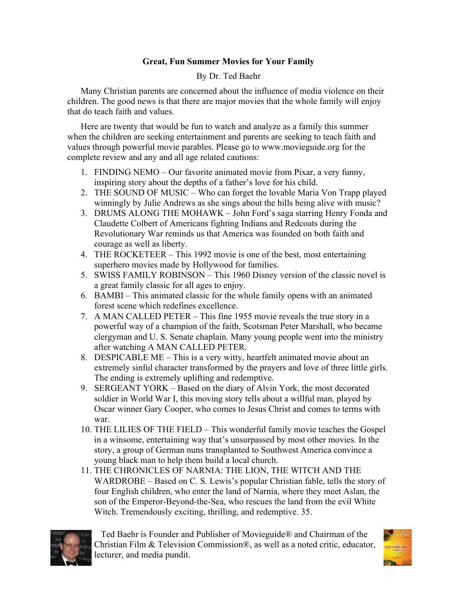## **Great, Fun Summer Movies for Your Family**

## By Dr. Ted Baehr

Many Christian parents are concerned about the influence of media violence on their children. The good news is that there are major movies that the whole family will enjoy that do teach faith and values.

Here are twenty that would be fun to watch and analyze as a family this summer when the children are seeking entertainment and parents are seeking to teach faith and values through powerful movie parables. Please go to www.movieguide.org for the complete review and any and all age related cautions:

- 1. FINDING NEMO Our favorite animated movie from Pixar, a very funny, inspiring story about the depths of a father's love for his child.
- 2. THE SOUND OF MUSIC Who can forget the lovable Maria Von Trapp played winningly by Julie Andrews as she sings about the hills being alive with music?
- 3. DRUMS ALONG THE MOHAWK John Ford's saga starring Henry Fonda and Claudette Colbert of Americans fighting Indians and Redcoats during the Revolutionary War reminds us that America was founded on both faith and courage as well as liberty.
- 4. THE ROCKETEER This 1992 movie is one of the best, most entertaining superhero movies made by Hollywood for families.
- 5. SWISS FAMILY ROBINSON This 1960 Disney version of the classic novel is a great family classic for all ages to enjoy.
- 6. BAMBI This animated classic for the whole family opens with an animated forest scene which redefines excellence.
- 7. A MAN CALLED PETER This fine 1955 movie reveals the true story in a powerful way of a champion of the faith, Scotsman Peter Marshall, who became clergyman and U. S. Senate chaplain. Many young people went into the ministry after watching A MAN CALLED PETER.
- 8. DESPICABLE ME This is a very witty, heartfelt animated movie about an extremely sinful character transformed by the prayers and love of three little girls. The ending is extremely uplifting and redemptive.
- 9. SERGEANT YORK Based on the diary of Alvin York, the most decorated soldier in World War I, this moving story tells about a willful man, played by Oscar winner Gary Cooper, who comes to Jesus Christ and comes to terms with war.
- 10. THE LILIES OF THE FIELD This wonderful family movie teaches the Gospel in a winsome, entertaining way that's unsurpassed by most other movies. In the story, a group of German nuns transplanted to Southwest America convince a young black man to help them build a local church.
- 11. THE CHRONICLES OF NARNIA: THE LION, THE WITCH AND THE WARDROBE – Based on C. S. Lewis's popular Christian fable, tells the story of four English children, who enter the land of Narnia, where they meet Aslan, the son of the Emperor-Beyond-the-Sea, who rescues the land from the evil White Witch. Tremendously exciting, thrilling, and redemptive. 35.



 Ted Baehr is Founder and Publisher of Movieguide® and Chairman of the Christian Film & Television Commission®, as well as a noted critic, educator, lecturer, and media pundit.